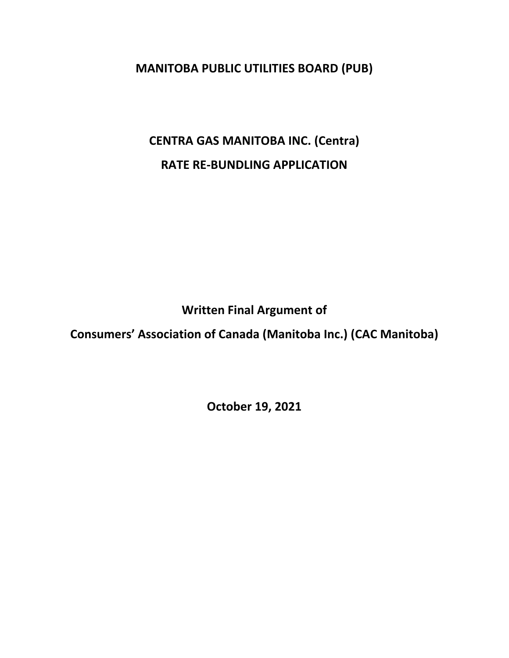**MANITOBA PUBLIC UTILITIES BOARD (PUB)**

**CENTRA GAS MANITOBA INC. (Centra) RATE RE-BUNDLING APPLICATION**

**Written Final Argument of**

**Consumers' Association of Canada (Manitoba Inc.) (CAC Manitoba)**

**October 19, 2021**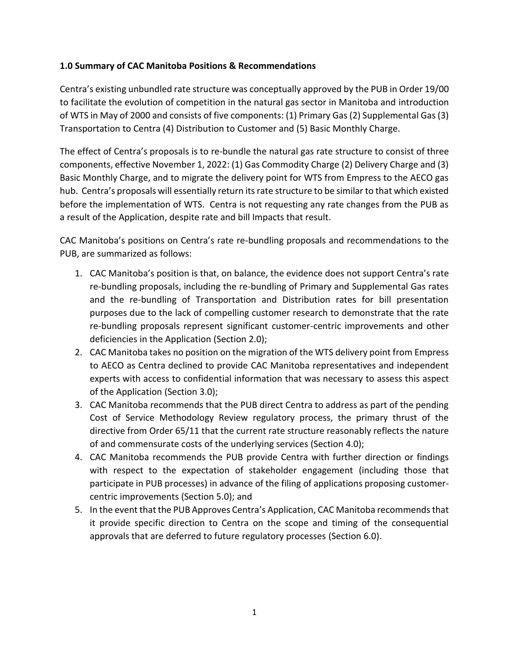#### **1.0 Summary of CAC Manitoba Positions & Recommendations**

Centra's existing unbundled rate structure was conceptually approved by the PUB in Order 19/00 to facilitate the evolution of competition in the natural gas sector in Manitoba and introduction of WTS in May of 2000 and consists of five components: (1) Primary Gas (2) Supplemental Gas (3) Transportation to Centra (4) Distribution to Customer and (5) Basic Monthly Charge.

The effect of Centra's proposals is to re-bundle the natural gas rate structure to consist of three components, effective November 1, 2022: (1) Gas Commodity Charge (2) Delivery Charge and (3) Basic Monthly Charge, and to migrate the delivery point for WTS from Empress to the AECO gas hub. Centra's proposals will essentially return its rate structure to be similar to that which existed before the implementation of WTS. Centra is not requesting any rate changes from the PUB as a result of the Application, despite rate and bill Impacts that result.

CAC Manitoba's positions on Centra's rate re-bundling proposals and recommendations to the PUB, are summarized as follows:

- 1. CAC Manitoba's position is that, on balance, the evidence does not support Centra's rate re-bundling proposals, including the re-bundling of Primary and Supplemental Gas rates and the re-bundling of Transportation and Distribution rates for bill presentation purposes due to the lack of compelling customer research to demonstrate that the rate re-bundling proposals represent significant customer-centric improvements and other deficiencies in the Application (Section 2.0);
- 2. CAC Manitoba takes no position on the migration of the WTS delivery point from Empress to AECO as Centra declined to provide CAC Manitoba representatives and independent experts with access to confidential information that was necessary to assess this aspect of the Application (Section 3.0);
- 3. CAC Manitoba recommends that the PUB direct Centra to address as part of the pending Cost of Service Methodology Review regulatory process, the primary thrust of the directive from Order 65/11 that the current rate structure reasonably reflects the nature of and commensurate costs of the underlying services (Section 4.0);
- 4. CAC Manitoba recommends the PUB provide Centra with further direction or findings with respect to the expectation of stakeholder engagement (including those that participate in PUB processes) in advance of the filing of applications proposing customercentric improvements (Section 5.0); and
- 5. In the event that the PUB Approves Centra's Application, CAC Manitoba recommends that it provide specific direction to Centra on the scope and timing of the consequential approvals that are deferred to future regulatory processes (Section 6.0).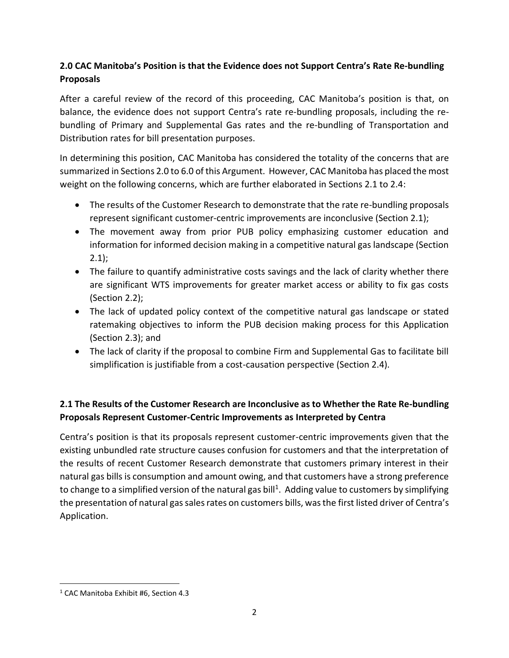# **2.0 CAC Manitoba's Position is that the Evidence does not Support Centra's Rate Re-bundling Proposals**

After a careful review of the record of this proceeding, CAC Manitoba's position is that, on balance, the evidence does not support Centra's rate re-bundling proposals, including the rebundling of Primary and Supplemental Gas rates and the re-bundling of Transportation and Distribution rates for bill presentation purposes.

In determining this position, CAC Manitoba has considered the totality of the concerns that are summarized in Sections 2.0 to 6.0 of this Argument. However, CAC Manitoba has placed the most weight on the following concerns, which are further elaborated in Sections 2.1 to 2.4:

- The results of the Customer Research to demonstrate that the rate re-bundling proposals represent significant customer-centric improvements are inconclusive (Section 2.1);
- The movement away from prior PUB policy emphasizing customer education and information for informed decision making in a competitive natural gas landscape (Section  $2.1$
- The failure to quantify administrative costs savings and the lack of clarity whether there are significant WTS improvements for greater market access or ability to fix gas costs (Section 2.2);
- The lack of updated policy context of the competitive natural gas landscape or stated ratemaking objectives to inform the PUB decision making process for this Application (Section 2.3); and
- The lack of clarity if the proposal to combine Firm and Supplemental Gas to facilitate bill simplification is justifiable from a cost-causation perspective (Section 2.4).

# **2.1 The Results of the Customer Research are Inconclusive as to Whether the Rate Re-bundling Proposals Represent Customer-Centric Improvements as Interpreted by Centra**

Centra's position is that its proposals represent customer-centric improvements given that the existing unbundled rate structure causes confusion for customers and that the interpretation of the results of recent Customer Research demonstrate that customers primary interest in their natural gas bills is consumption and amount owing, and that customers have a strong preference to change to a simplified version of the natural gas bill<sup>1</sup>. Adding value to customers by simplifying the presentation of natural gas sales rates on customers bills, was the first listed driver of Centra's Application.

<sup>&</sup>lt;sup>1</sup> CAC Manitoba Exhibit #6, Section 4.3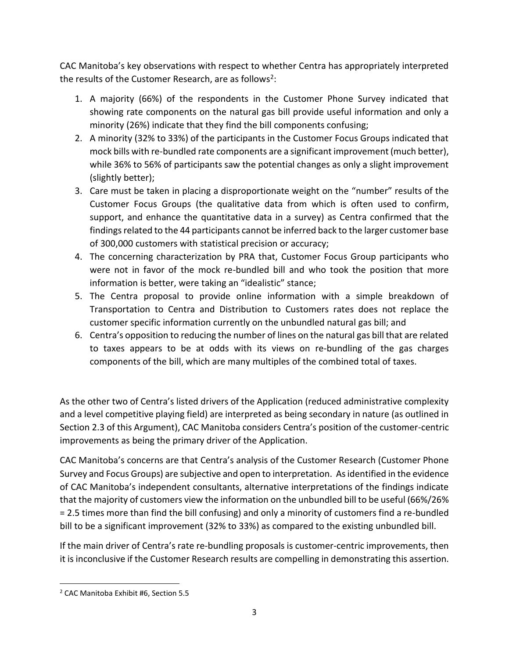CAC Manitoba's key observations with respect to whether Centra has appropriately interpreted the results of the Customer Research, are as follows<sup>2</sup>:

- 1. A majority (66%) of the respondents in the Customer Phone Survey indicated that showing rate components on the natural gas bill provide useful information and only a minority (26%) indicate that they find the bill components confusing;
- 2. A minority (32% to 33%) of the participants in the Customer Focus Groups indicated that mock bills with re-bundled rate components are a significant improvement (much better), while 36% to 56% of participants saw the potential changes as only a slight improvement (slightly better);
- 3. Care must be taken in placing a disproportionate weight on the "number" results of the Customer Focus Groups (the qualitative data from which is often used to confirm, support, and enhance the quantitative data in a survey) as Centra confirmed that the findings related to the 44 participants cannot be inferred back to the larger customer base of 300,000 customers with statistical precision or accuracy;
- 4. The concerning characterization by PRA that, Customer Focus Group participants who were not in favor of the mock re-bundled bill and who took the position that more information is better, were taking an "idealistic" stance;
- 5. The Centra proposal to provide online information with a simple breakdown of Transportation to Centra and Distribution to Customers rates does not replace the customer specific information currently on the unbundled natural gas bill; and
- 6. Centra's opposition to reducing the number of lines on the natural gas bill that are related to taxes appears to be at odds with its views on re-bundling of the gas charges components of the bill, which are many multiples of the combined total of taxes.

As the other two of Centra's listed drivers of the Application (reduced administrative complexity and a level competitive playing field) are interpreted as being secondary in nature (as outlined in Section 2.3 of this Argument), CAC Manitoba considers Centra's position of the customer-centric improvements as being the primary driver of the Application.

CAC Manitoba's concerns are that Centra's analysis of the Customer Research (Customer Phone Survey and Focus Groups) are subjective and open to interpretation. Asidentified in the evidence of CAC Manitoba's independent consultants, alternative interpretations of the findings indicate that the majority of customers view the information on the unbundled bill to be useful (66%/26% = 2.5 times more than find the bill confusing) and only a minority of customers find a re-bundled bill to be a significant improvement (32% to 33%) as compared to the existing unbundled bill.

If the main driver of Centra's rate re-bundling proposals is customer-centric improvements, then it is inconclusive if the Customer Research results are compelling in demonstrating this assertion.

<sup>2</sup> CAC Manitoba Exhibit #6, Section 5.5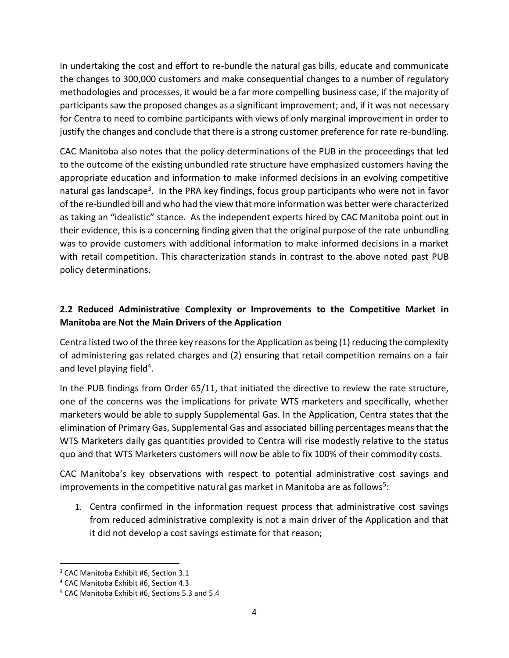In undertaking the cost and effort to re-bundle the natural gas bills, educate and communicate the changes to 300,000 customers and make consequential changes to a number of regulatory methodologies and processes, it would be a far more compelling business case, if the majority of participants saw the proposed changes as a significant improvement; and, if it was not necessary for Centra to need to combine participants with views of only marginal improvement in order to justify the changes and conclude that there is a strong customer preference for rate re-bundling.

CAC Manitoba also notes that the policy determinations of the PUB in the proceedings that led to the outcome of the existing unbundled rate structure have emphasized customers having the appropriate education and information to make informed decisions in an evolving competitive natural gas landscape<sup>3</sup>. In the PRA key findings, focus group participants who were not in favor of the re-bundled bill and who had the view that more information was better were characterized as taking an "idealistic" stance. As the independent experts hired by CAC Manitoba point out in their evidence, this is a concerning finding given that the original purpose of the rate unbundling was to provide customers with additional information to make informed decisions in a market with retail competition. This characterization stands in contrast to the above noted past PUB policy determinations.

# **2.2 Reduced Administrative Complexity or Improvements to the Competitive Market in Manitoba are Not the Main Drivers of the Application**

Centra listed two of the three key reasons for the Application as being (1) reducing the complexity of administering gas related charges and (2) ensuring that retail competition remains on a fair and level playing field<sup>4</sup>.

In the PUB findings from Order 65/11, that initiated the directive to review the rate structure, one of the concerns was the implications for private WTS marketers and specifically, whether marketers would be able to supply Supplemental Gas. In the Application, Centra states that the elimination of Primary Gas, Supplemental Gas and associated billing percentages means that the WTS Marketers daily gas quantities provided to Centra will rise modestly relative to the status quo and that WTS Marketers customers will now be able to fix 100% of their commodity costs.

CAC Manitoba's key observations with respect to potential administrative cost savings and improvements in the competitive natural gas market in Manitoba are as follows<sup>5</sup>:

1. Centra confirmed in the information request process that administrative cost savings from reduced administrative complexity is not a main driver of the Application and that it did not develop a cost savings estimate for that reason;

<sup>3</sup> CAC Manitoba Exhibit #6, Section 3.1

<sup>4</sup> CAC Manitoba Exhibit #6, Section 4.3

<sup>5</sup> CAC Manitoba Exhibit #6, Sections 5.3 and 5.4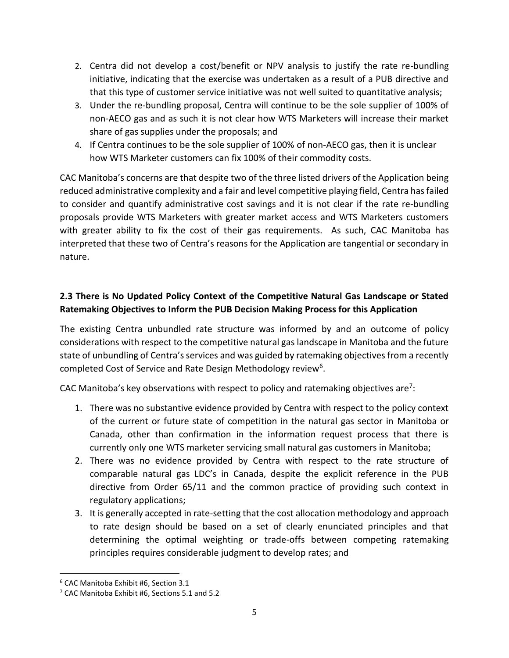- 2. Centra did not develop a cost/benefit or NPV analysis to justify the rate re-bundling initiative, indicating that the exercise was undertaken as a result of a PUB directive and that this type of customer service initiative was not well suited to quantitative analysis;
- 3. Under the re-bundling proposal, Centra will continue to be the sole supplier of 100% of non-AECO gas and as such it is not clear how WTS Marketers will increase their market share of gas supplies under the proposals; and
- 4. If Centra continues to be the sole supplier of 100% of non-AECO gas, then it is unclear how WTS Marketer customers can fix 100% of their commodity costs.

CAC Manitoba's concerns are that despite two of the three listed drivers of the Application being reduced administrative complexity and a fair and level competitive playing field, Centra has failed to consider and quantify administrative cost savings and it is not clear if the rate re-bundling proposals provide WTS Marketers with greater market access and WTS Marketers customers with greater ability to fix the cost of their gas requirements. As such, CAC Manitoba has interpreted that these two of Centra's reasons for the Application are tangential or secondary in nature.

# **2.3 There is No Updated Policy Context of the Competitive Natural Gas Landscape or Stated Ratemaking Objectives to Inform the PUB Decision Making Process for this Application**

The existing Centra unbundled rate structure was informed by and an outcome of policy considerations with respect to the competitive natural gas landscape in Manitoba and the future state of unbundling of Centra's services and was guided by ratemaking objectives from a recently completed Cost of Service and Rate Design Methodology review<sup>6</sup>.

CAC Manitoba's key observations with respect to policy and ratemaking objectives are<sup>7</sup>:

- 1. There was no substantive evidence provided by Centra with respect to the policy context of the current or future state of competition in the natural gas sector in Manitoba or Canada, other than confirmation in the information request process that there is currently only one WTS marketer servicing small natural gas customers in Manitoba;
- 2. There was no evidence provided by Centra with respect to the rate structure of comparable natural gas LDC's in Canada, despite the explicit reference in the PUB directive from Order 65/11 and the common practice of providing such context in regulatory applications;
- 3. It is generally accepted in rate-setting that the cost allocation methodology and approach to rate design should be based on a set of clearly enunciated principles and that determining the optimal weighting or trade-offs between competing ratemaking principles requires considerable judgment to develop rates; and

<sup>6</sup> CAC Manitoba Exhibit #6, Section 3.1

<sup>7</sup> CAC Manitoba Exhibit #6, Sections 5.1 and 5.2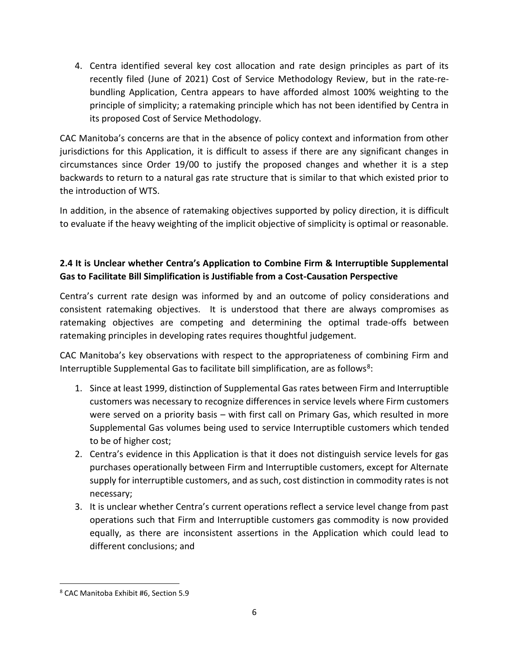4. Centra identified several key cost allocation and rate design principles as part of its recently filed (June of 2021) Cost of Service Methodology Review, but in the rate-rebundling Application, Centra appears to have afforded almost 100% weighting to the principle of simplicity; a ratemaking principle which has not been identified by Centra in its proposed Cost of Service Methodology.

CAC Manitoba's concerns are that in the absence of policy context and information from other jurisdictions for this Application, it is difficult to assess if there are any significant changes in circumstances since Order 19/00 to justify the proposed changes and whether it is a step backwards to return to a natural gas rate structure that is similar to that which existed prior to the introduction of WTS.

In addition, in the absence of ratemaking objectives supported by policy direction, it is difficult to evaluate if the heavy weighting of the implicit objective of simplicity is optimal or reasonable.

# **2.4 It is Unclear whether Centra's Application to Combine Firm & Interruptible Supplemental Gas to Facilitate Bill Simplification is Justifiable from a Cost-Causation Perspective**

Centra's current rate design was informed by and an outcome of policy considerations and consistent ratemaking objectives. It is understood that there are always compromises as ratemaking objectives are competing and determining the optimal trade-offs between ratemaking principles in developing rates requires thoughtful judgement.

CAC Manitoba's key observations with respect to the appropriateness of combining Firm and Interruptible Supplemental Gas to facilitate bill simplification, are as follows<sup>8</sup>:

- 1. Since at least 1999, distinction of Supplemental Gas rates between Firm and Interruptible customers was necessary to recognize differences in service levels where Firm customers were served on a priority basis – with first call on Primary Gas, which resulted in more Supplemental Gas volumes being used to service Interruptible customers which tended to be of higher cost;
- 2. Centra's evidence in this Application is that it does not distinguish service levels for gas purchases operationally between Firm and Interruptible customers, except for Alternate supply for interruptible customers, and as such, cost distinction in commodity rates is not necessary;
- 3. It is unclear whether Centra's current operations reflect a service level change from past operations such that Firm and Interruptible customers gas commodity is now provided equally, as there are inconsistent assertions in the Application which could lead to different conclusions; and

<sup>8</sup> CAC Manitoba Exhibit #6, Section 5.9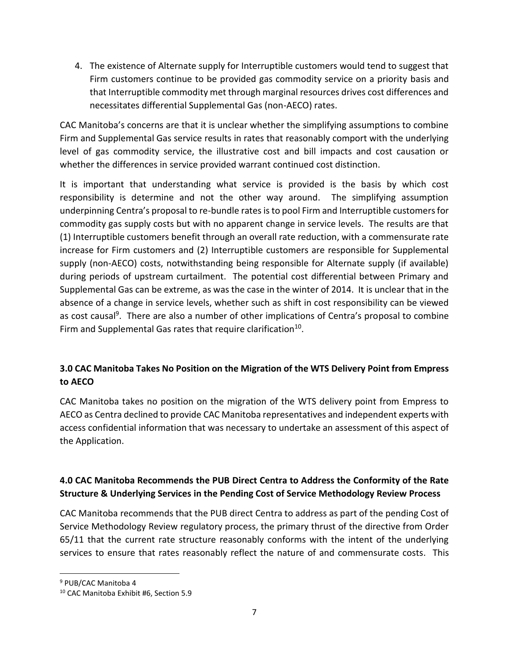4. The existence of Alternate supply for Interruptible customers would tend to suggest that Firm customers continue to be provided gas commodity service on a priority basis and that Interruptible commodity met through marginal resources drives cost differences and necessitates differential Supplemental Gas (non-AECO) rates.

CAC Manitoba's concerns are that it is unclear whether the simplifying assumptions to combine Firm and Supplemental Gas service results in rates that reasonably comport with the underlying level of gas commodity service, the illustrative cost and bill impacts and cost causation or whether the differences in service provided warrant continued cost distinction.

It is important that understanding what service is provided is the basis by which cost responsibility is determine and not the other way around. The simplifying assumption underpinning Centra's proposal to re-bundle rates is to pool Firm and Interruptible customers for commodity gas supply costs but with no apparent change in service levels. The results are that (1) Interruptible customers benefit through an overall rate reduction, with a commensurate rate increase for Firm customers and (2) Interruptible customers are responsible for Supplemental supply (non-AECO) costs, notwithstanding being responsible for Alternate supply (if available) during periods of upstream curtailment. The potential cost differential between Primary and Supplemental Gas can be extreme, as was the case in the winter of 2014. It is unclear that in the absence of a change in service levels, whether such as shift in cost responsibility can be viewed as cost causal<sup>9</sup>. There are also a number of other implications of Centra's proposal to combine Firm and Supplemental Gas rates that require clarification<sup>10</sup>.

# **3.0 CAC Manitoba Takes No Position on the Migration of the WTS Delivery Point from Empress to AECO**

CAC Manitoba takes no position on the migration of the WTS delivery point from Empress to AECO as Centra declined to provide CAC Manitoba representatives and independent experts with access confidential information that was necessary to undertake an assessment of this aspect of the Application.

### **4.0 CAC Manitoba Recommends the PUB Direct Centra to Address the Conformity of the Rate Structure & Underlying Services in the Pending Cost of Service Methodology Review Process**

CAC Manitoba recommends that the PUB direct Centra to address as part of the pending Cost of Service Methodology Review regulatory process, the primary thrust of the directive from Order 65/11 that the current rate structure reasonably conforms with the intent of the underlying services to ensure that rates reasonably reflect the nature of and commensurate costs. This

<sup>9</sup> PUB/CAC Manitoba 4

<sup>10</sup> CAC Manitoba Exhibit #6, Section 5.9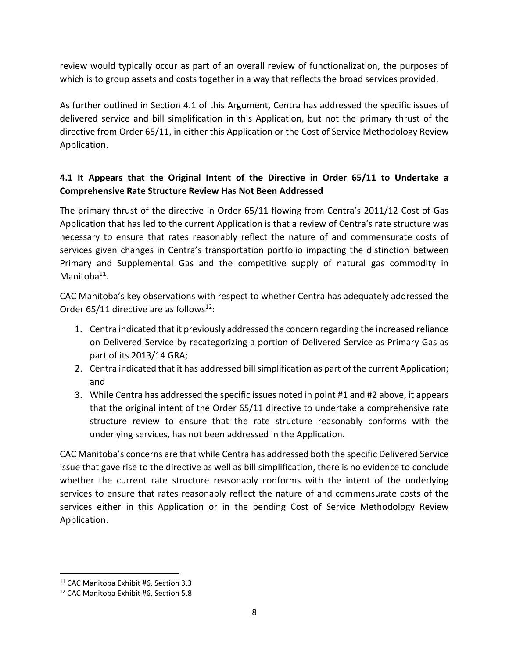review would typically occur as part of an overall review of functionalization, the purposes of which is to group assets and costs together in a way that reflects the broad services provided.

As further outlined in Section 4.1 of this Argument, Centra has addressed the specific issues of delivered service and bill simplification in this Application, but not the primary thrust of the directive from Order 65/11, in either this Application or the Cost of Service Methodology Review Application.

# **4.1 It Appears that the Original Intent of the Directive in Order 65/11 to Undertake a Comprehensive Rate Structure Review Has Not Been Addressed**

The primary thrust of the directive in Order 65/11 flowing from Centra's 2011/12 Cost of Gas Application that has led to the current Application is that a review of Centra's rate structure was necessary to ensure that rates reasonably reflect the nature of and commensurate costs of services given changes in Centra's transportation portfolio impacting the distinction between Primary and Supplemental Gas and the competitive supply of natural gas commodity in Manitoba<sup>11</sup>.

CAC Manitoba's key observations with respect to whether Centra has adequately addressed the Order 65/11 directive are as follows<sup>12</sup>:

- 1. Centra indicated that it previously addressed the concern regarding the increased reliance on Delivered Service by recategorizing a portion of Delivered Service as Primary Gas as part of its 2013/14 GRA;
- 2. Centra indicated that it has addressed bill simplification as part of the current Application; and
- 3. While Centra has addressed the specific issues noted in point #1 and #2 above, it appears that the original intent of the Order 65/11 directive to undertake a comprehensive rate structure review to ensure that the rate structure reasonably conforms with the underlying services, has not been addressed in the Application.

CAC Manitoba's concerns are that while Centra has addressed both the specific Delivered Service issue that gave rise to the directive as well as bill simplification, there is no evidence to conclude whether the current rate structure reasonably conforms with the intent of the underlying services to ensure that rates reasonably reflect the nature of and commensurate costs of the services either in this Application or in the pending Cost of Service Methodology Review Application.

<sup>&</sup>lt;sup>11</sup> CAC Manitoba Exhibit #6, Section 3.3

<sup>12</sup> CAC Manitoba Exhibit #6, Section 5.8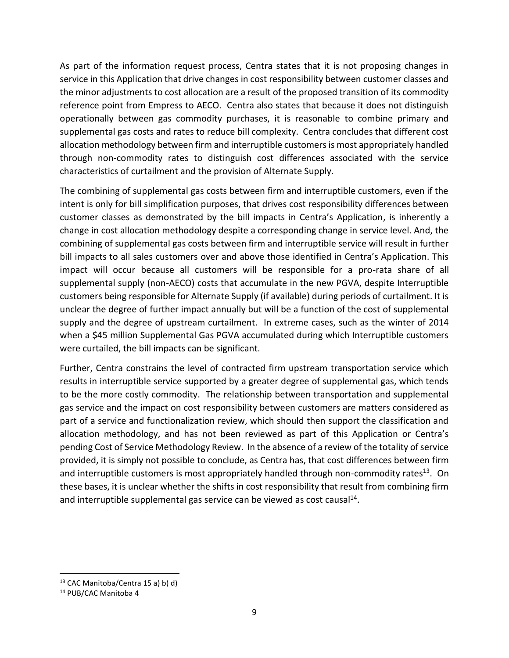As part of the information request process, Centra states that it is not proposing changes in service in this Application that drive changes in cost responsibility between customer classes and the minor adjustments to cost allocation are a result of the proposed transition of its commodity reference point from Empress to AECO. Centra also states that because it does not distinguish operationally between gas commodity purchases, it is reasonable to combine primary and supplemental gas costs and rates to reduce bill complexity. Centra concludes that different cost allocation methodology between firm and interruptible customers is most appropriately handled through non-commodity rates to distinguish cost differences associated with the service characteristics of curtailment and the provision of Alternate Supply.

The combining of supplemental gas costs between firm and interruptible customers, even if the intent is only for bill simplification purposes, that drives cost responsibility differences between customer classes as demonstrated by the bill impacts in Centra's Application, is inherently a change in cost allocation methodology despite a corresponding change in service level. And, the combining of supplemental gas costs between firm and interruptible service will result in further bill impacts to all sales customers over and above those identified in Centra's Application. This impact will occur because all customers will be responsible for a pro-rata share of all supplemental supply (non-AECO) costs that accumulate in the new PGVA, despite Interruptible customers being responsible for Alternate Supply (if available) during periods of curtailment. It is unclear the degree of further impact annually but will be a function of the cost of supplemental supply and the degree of upstream curtailment. In extreme cases, such as the winter of 2014 when a \$45 million Supplemental Gas PGVA accumulated during which Interruptible customers were curtailed, the bill impacts can be significant.

Further, Centra constrains the level of contracted firm upstream transportation service which results in interruptible service supported by a greater degree of supplemental gas, which tends to be the more costly commodity. The relationship between transportation and supplemental gas service and the impact on cost responsibility between customers are matters considered as part of a service and functionalization review, which should then support the classification and allocation methodology, and has not been reviewed as part of this Application or Centra's pending Cost of Service Methodology Review. In the absence of a review of the totality of service provided, it is simply not possible to conclude, as Centra has, that cost differences between firm and interruptible customers is most appropriately handled through non-commodity rates<sup>13</sup>. On these bases, it is unclear whether the shifts in cost responsibility that result from combining firm and interruptible supplemental gas service can be viewed as cost causal<sup>14</sup>.

 $13$  CAC Manitoba/Centra 15 a) b) d)

<sup>14</sup> PUB/CAC Manitoba 4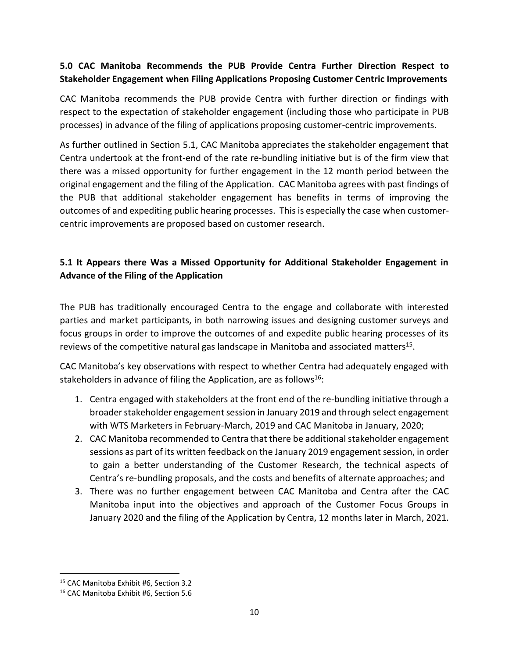#### **5.0 CAC Manitoba Recommends the PUB Provide Centra Further Direction Respect to Stakeholder Engagement when Filing Applications Proposing Customer Centric Improvements**

CAC Manitoba recommends the PUB provide Centra with further direction or findings with respect to the expectation of stakeholder engagement (including those who participate in PUB processes) in advance of the filing of applications proposing customer-centric improvements.

As further outlined in Section 5.1, CAC Manitoba appreciates the stakeholder engagement that Centra undertook at the front-end of the rate re-bundling initiative but is of the firm view that there was a missed opportunity for further engagement in the 12 month period between the original engagement and the filing of the Application. CAC Manitoba agrees with past findings of the PUB that additional stakeholder engagement has benefits in terms of improving the outcomes of and expediting public hearing processes. This is especially the case when customercentric improvements are proposed based on customer research.

# **5.1 It Appears there Was a Missed Opportunity for Additional Stakeholder Engagement in Advance of the Filing of the Application**

The PUB has traditionally encouraged Centra to the engage and collaborate with interested parties and market participants, in both narrowing issues and designing customer surveys and focus groups in order to improve the outcomes of and expedite public hearing processes of its reviews of the competitive natural gas landscape in Manitoba and associated matters<sup>15</sup>.

CAC Manitoba's key observations with respect to whether Centra had adequately engaged with stakeholders in advance of filing the Application, are as follows<sup>16</sup>:

- 1. Centra engaged with stakeholders at the front end of the re-bundling initiative through a broader stakeholder engagement session in January 2019 and through select engagement with WTS Marketers in February-March, 2019 and CAC Manitoba in January, 2020;
- 2. CAC Manitoba recommended to Centra that there be additional stakeholder engagement sessions as part of its written feedback on the January 2019 engagement session, in order to gain a better understanding of the Customer Research, the technical aspects of Centra's re-bundling proposals, and the costs and benefits of alternate approaches; and
- 3. There was no further engagement between CAC Manitoba and Centra after the CAC Manitoba input into the objectives and approach of the Customer Focus Groups in January 2020 and the filing of the Application by Centra, 12 months later in March, 2021.

<sup>15</sup> CAC Manitoba Exhibit #6, Section 3.2

<sup>16</sup> CAC Manitoba Exhibit #6, Section 5.6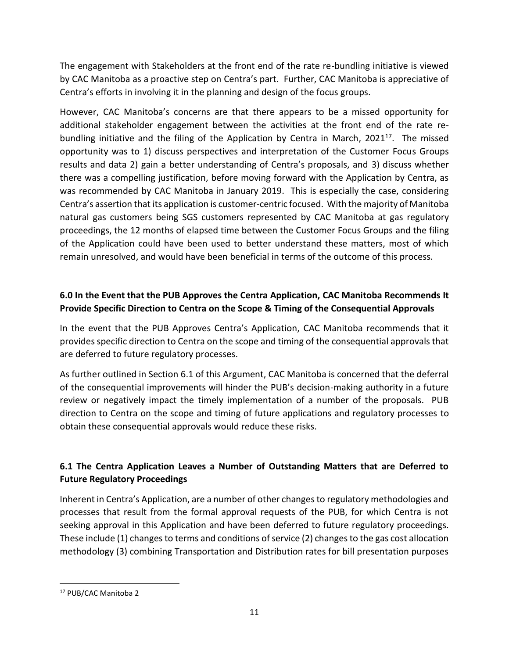The engagement with Stakeholders at the front end of the rate re-bundling initiative is viewed by CAC Manitoba as a proactive step on Centra's part. Further, CAC Manitoba is appreciative of Centra's efforts in involving it in the planning and design of the focus groups.

However, CAC Manitoba's concerns are that there appears to be a missed opportunity for additional stakeholder engagement between the activities at the front end of the rate rebundling initiative and the filing of the Application by Centra in March,  $2021^{17}$ . The missed opportunity was to 1) discuss perspectives and interpretation of the Customer Focus Groups results and data 2) gain a better understanding of Centra's proposals, and 3) discuss whether there was a compelling justification, before moving forward with the Application by Centra, as was recommended by CAC Manitoba in January 2019. This is especially the case, considering Centra's assertion that its application is customer-centric focused. With the majority of Manitoba natural gas customers being SGS customers represented by CAC Manitoba at gas regulatory proceedings, the 12 months of elapsed time between the Customer Focus Groups and the filing of the Application could have been used to better understand these matters, most of which remain unresolved, and would have been beneficial in terms of the outcome of this process.

# **6.0 In the Event that the PUB Approves the Centra Application, CAC Manitoba Recommends It Provide Specific Direction to Centra on the Scope & Timing of the Consequential Approvals**

In the event that the PUB Approves Centra's Application, CAC Manitoba recommends that it provides specific direction to Centra on the scope and timing of the consequential approvals that are deferred to future regulatory processes.

As further outlined in Section 6.1 of this Argument, CAC Manitoba is concerned that the deferral of the consequential improvements will hinder the PUB's decision-making authority in a future review or negatively impact the timely implementation of a number of the proposals. PUB direction to Centra on the scope and timing of future applications and regulatory processes to obtain these consequential approvals would reduce these risks.

# **6.1 The Centra Application Leaves a Number of Outstanding Matters that are Deferred to Future Regulatory Proceedings**

Inherent in Centra's Application, are a number of other changes to regulatory methodologies and processes that result from the formal approval requests of the PUB, for which Centra is not seeking approval in this Application and have been deferred to future regulatory proceedings. These include (1) changes to terms and conditions of service (2) changes to the gas cost allocation methodology (3) combining Transportation and Distribution rates for bill presentation purposes

<sup>17</sup> PUB/CAC Manitoba 2